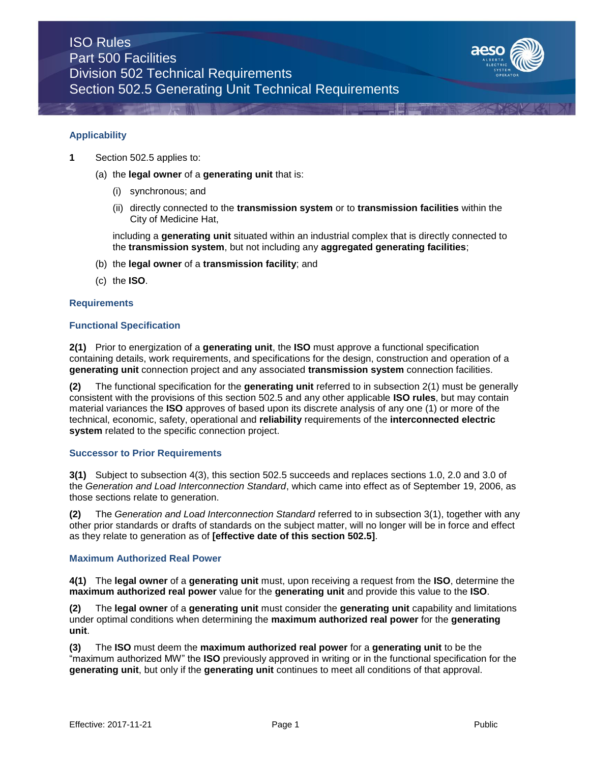

### **Applicability**

- **1** Section 502.5 applies to:
	- (a) the **legal owner** of a **generating unit** that is:
		- (i) synchronous; and
		- (ii) directly connected to the **transmission system** or to **transmission facilities** within the City of Medicine Hat,

including a **generating unit** situated within an industrial complex that is directly connected to the **transmission system**, but not including any **aggregated generating facilities**;

- (b) the **legal owner** of a **transmission facility**; and
- (c) the **ISO**.

#### **Requirements**

### **Functional Specification**

**2(1)** Prior to energization of a **generating unit**, the **ISO** must approve a functional specification containing details, work requirements, and specifications for the design, construction and operation of a **generating unit** connection project and any associated **transmission system** connection facilities.

**(2)** The functional specification for the **generating unit** referred to in subsection 2(1) must be generally consistent with the provisions of this section 502.5 and any other applicable **ISO rules**, but may contain material variances the **ISO** approves of based upon its discrete analysis of any one (1) or more of the technical, economic, safety, operational and **reliability** requirements of the **interconnected electric system** related to the specific connection project.

## **Successor to Prior Requirements**

**3(1)** Subject to subsection 4(3), this section 502.5 succeeds and replaces sections 1.0, 2.0 and 3.0 of the *Generation and Load Interconnection Standard*, which came into effect as of September 19, 2006, as those sections relate to generation.

**(2)** The *Generation and Load Interconnection Standard* referred to in subsection 3(1), together with any other prior standards or drafts of standards on the subject matter, will no longer will be in force and effect as they relate to generation as of **[effective date of this section 502.5]**.

## **Maximum Authorized Real Power**

**4(1)** The **legal owner** of a **generating unit** must, upon receiving a request from the **ISO**, determine the **maximum authorized real power** value for the **generating unit** and provide this value to the **ISO**.

**(2)** The **legal owner** of a **generating unit** must consider the **generating unit** capability and limitations under optimal conditions when determining the **maximum authorized real power** for the **generating unit**.

**(3)** The **ISO** must deem the **maximum authorized real power** for a **generating unit** to be the "maximum authorized MW" the **ISO** previously approved in writing or in the functional specification for the **generating unit**, but only if the **generating unit** continues to meet all conditions of that approval.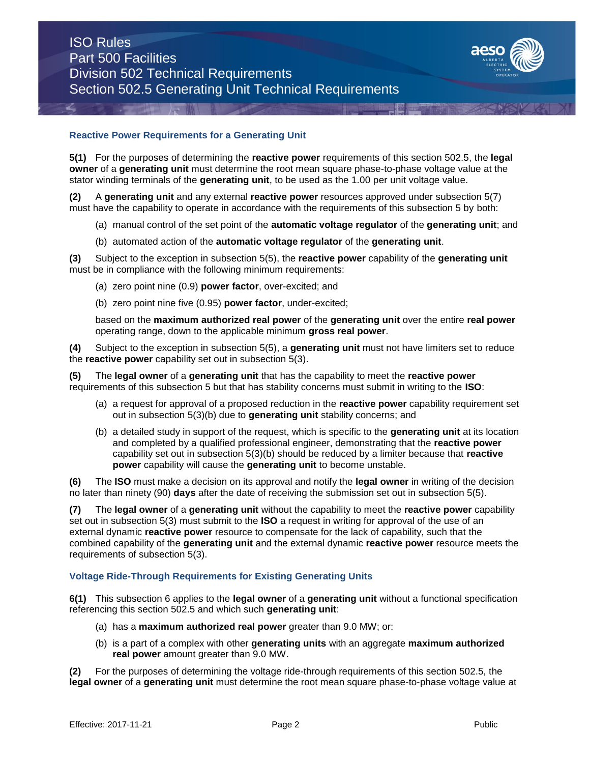

## **Reactive Power Requirements for a Generating Unit**

**5(1)** For the purposes of determining the **reactive power** requirements of this section 502.5, the **legal owner** of a **generating unit** must determine the root mean square phase-to-phase voltage value at the stator winding terminals of the **generating unit**, to be used as the 1.00 per unit voltage value.

**(2)** A **generating unit** and any external **reactive power** resources approved under subsection 5(7) must have the capability to operate in accordance with the requirements of this subsection 5 by both:

- (a) manual control of the set point of the **automatic voltage regulator** of the **generating unit**; and
- (b) automated action of the **automatic voltage regulator** of the **generating unit**.

**(3)** Subject to the exception in subsection 5(5), the **reactive power** capability of the **generating unit**  must be in compliance with the following minimum requirements:

- (a) zero point nine (0.9) **power factor**, over-excited; and
- (b) zero point nine five (0.95) **power factor**, under-excited;

based on the **maximum authorized real power** of the **generating unit** over the entire **real power** operating range, down to the applicable minimum **gross real power**.

**(4)** Subject to the exception in subsection 5(5), a **generating unit** must not have limiters set to reduce the **reactive power** capability set out in subsection 5(3).

**(5)** The **legal owner** of a **generating unit** that has the capability to meet the **reactive power**  requirements of this subsection 5 but that has stability concerns must submit in writing to the **ISO**:

- (a) a request for approval of a proposed reduction in the **reactive power** capability requirement set out in subsection 5(3)(b) due to **generating unit** stability concerns; and
- (b) a detailed study in support of the request, which is specific to the **generating unit** at its location and completed by a qualified professional engineer, demonstrating that the **reactive power**  capability set out in subsection 5(3)(b) should be reduced by a limiter because that **reactive power** capability will cause the **generating unit** to become unstable.

**(6)** The **ISO** must make a decision on its approval and notify the **legal owner** in writing of the decision no later than ninety (90) **days** after the date of receiving the submission set out in subsection 5(5).

**(7)** The **legal owner** of a **generating unit** without the capability to meet the **reactive power** capability set out in subsection 5(3) must submit to the **ISO** a request in writing for approval of the use of an external dynamic **reactive power** resource to compensate for the lack of capability, such that the combined capability of the **generating unit** and the external dynamic **reactive power** resource meets the requirements of subsection 5(3).

#### **Voltage Ride-Through Requirements for Existing Generating Units**

**6(1)** This subsection 6 applies to the **legal owner** of a **generating unit** without a functional specification referencing this section 502.5 and which such **generating unit**:

- (a) has a **maximum authorized real power** greater than 9.0 MW; or:
- (b) is a part of a complex with other **generating units** with an aggregate **maximum authorized real power** amount greater than 9.0 MW.

**(2)** For the purposes of determining the voltage ride-through requirements of this section 502.5, the **legal owner** of a **generating unit** must determine the root mean square phase-to-phase voltage value at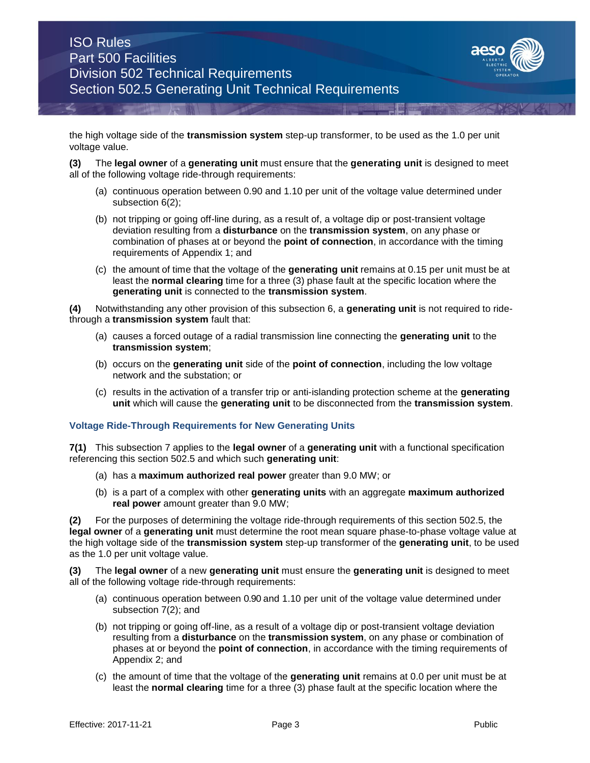

the high voltage side of the **transmission system** step-up transformer, to be used as the 1.0 per unit voltage value.

**(3)** The **legal owner** of a **generating unit** must ensure that the **generating unit** is designed to meet all of the following voltage ride-through requirements:

- (a) continuous operation between 0.90 and 1.10 per unit of the voltage value determined under subsection 6(2);
- (b) not tripping or going off-line during, as a result of, a voltage dip or post-transient voltage deviation resulting from a **disturbance** on the **transmission system**, on any phase or combination of phases at or beyond the **point of connection**, in accordance with the timing requirements of Appendix 1; and
- (c) the amount of time that the voltage of the **generating unit** remains at 0.15 per unit must be at least the **normal clearing** time for a three (3) phase fault at the specific location where the **generating unit** is connected to the **transmission system**.

**(4)** Notwithstanding any other provision of this subsection 6, a **generating unit** is not required to ridethrough a **transmission system** fault that:

- (a) causes a forced outage of a radial transmission line connecting the **generating unit** to the **transmission system**;
- (b) occurs on the **generating unit** side of the **point of connection**, including the low voltage network and the substation; or
- (c) results in the activation of a transfer trip or anti-islanding protection scheme at the **generating unit** which will cause the **generating unit** to be disconnected from the **transmission system**.

## **Voltage Ride-Through Requirements for New Generating Units**

**7(1)** This subsection 7 applies to the **legal owner** of a **generating unit** with a functional specification referencing this section 502.5 and which such **generating unit**:

- (a) has a **maximum authorized real power** greater than 9.0 MW; or
- (b) is a part of a complex with other **generating units** with an aggregate **maximum authorized real power** amount greater than 9.0 MW;

**(2)** For the purposes of determining the voltage ride-through requirements of this section 502.5, the **legal owner** of a **generating unit** must determine the root mean square phase-to-phase voltage value at the high voltage side of the **transmission system** step-up transformer of the **generating unit**, to be used as the 1.0 per unit voltage value.

**(3)** The **legal owner** of a new **generating unit** must ensure the **generating unit** is designed to meet all of the following voltage ride-through requirements:

- (a) continuous operation between 0.90 and 1.10 per unit of the voltage value determined under subsection 7(2); and
- (b) not tripping or going off-line, as a result of a voltage dip or post-transient voltage deviation resulting from a **disturbance** on the **transmission system**, on any phase or combination of phases at or beyond the **point of connection**, in accordance with the timing requirements of Appendix 2; and
- (c) the amount of time that the voltage of the **generating unit** remains at 0.0 per unit must be at least the **normal clearing** time for a three (3) phase fault at the specific location where the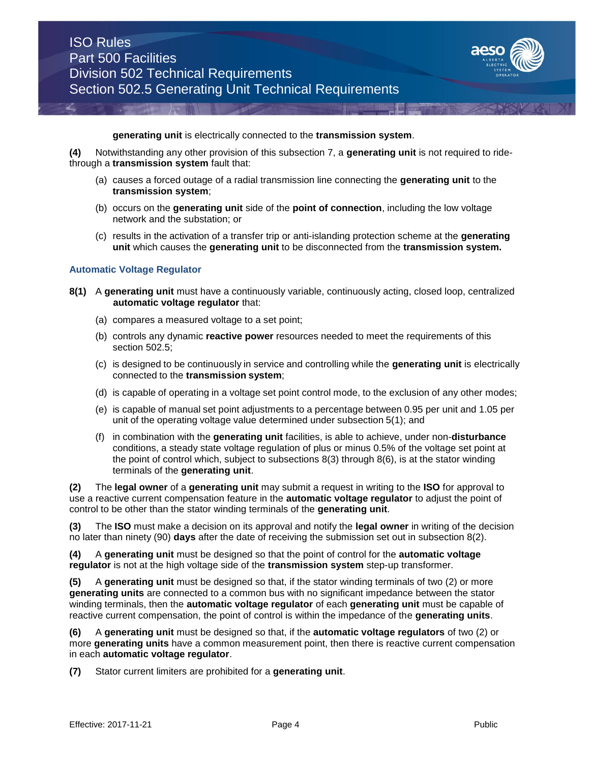

**generating unit** is electrically connected to the **transmission system**.

**(4)** Notwithstanding any other provision of this subsection 7, a **generating unit** is not required to ridethrough a **transmission system** fault that:

- (a) causes a forced outage of a radial transmission line connecting the **generating unit** to the **transmission system**;
- (b) occurs on the **generating unit** side of the **point of connection**, including the low voltage network and the substation; or
- (c) results in the activation of a transfer trip or anti-islanding protection scheme at the **generating unit** which causes the **generating unit** to be disconnected from the **transmission system.**

### **Automatic Voltage Regulator**

- **8(1)** A **generating unit** must have a continuously variable, continuously acting, closed loop, centralized **automatic voltage regulator** that:
	- (a) compares a measured voltage to a set point;
	- (b) controls any dynamic **reactive power** resources needed to meet the requirements of this section 502.5;
	- (c) is designed to be continuously in service and controlling while the **generating unit** is electrically connected to the **transmission system**;
	- (d) is capable of operating in a voltage set point control mode, to the exclusion of any other modes;
	- (e) is capable of manual set point adjustments to a percentage between 0.95 per unit and 1.05 per unit of the operating voltage value determined under subsection 5(1); and
	- (f) in combination with the **generating unit** facilities, is able to achieve, under non-**disturbance**  conditions, a steady state voltage regulation of plus or minus 0.5% of the voltage set point at the point of control which, subject to subsections 8(3) through 8(6), is at the stator winding terminals of the **generating unit**.

**(2)** The **legal owner** of a **generating unit** may submit a request in writing to the **ISO** for approval to use a reactive current compensation feature in the **automatic voltage regulator** to adjust the point of control to be other than the stator winding terminals of the **generating unit**.

**(3)** The **ISO** must make a decision on its approval and notify the **legal owner** in writing of the decision no later than ninety (90) **days** after the date of receiving the submission set out in subsection 8(2).

**(4)** A **generating unit** must be designed so that the point of control for the **automatic voltage regulator** is not at the high voltage side of the **transmission system** step-up transformer.

**(5)** A **generating unit** must be designed so that, if the stator winding terminals of two (2) or more **generating units** are connected to a common bus with no significant impedance between the stator winding terminals, then the **automatic voltage regulator** of each **generating unit** must be capable of reactive current compensation, the point of control is within the impedance of the **generating units**.

**(6)** A **generating unit** must be designed so that, if the **automatic voltage regulators** of two (2) or more **generating units** have a common measurement point, then there is reactive current compensation in each **automatic voltage regulator**.

**(7)** Stator current limiters are prohibited for a **generating unit**.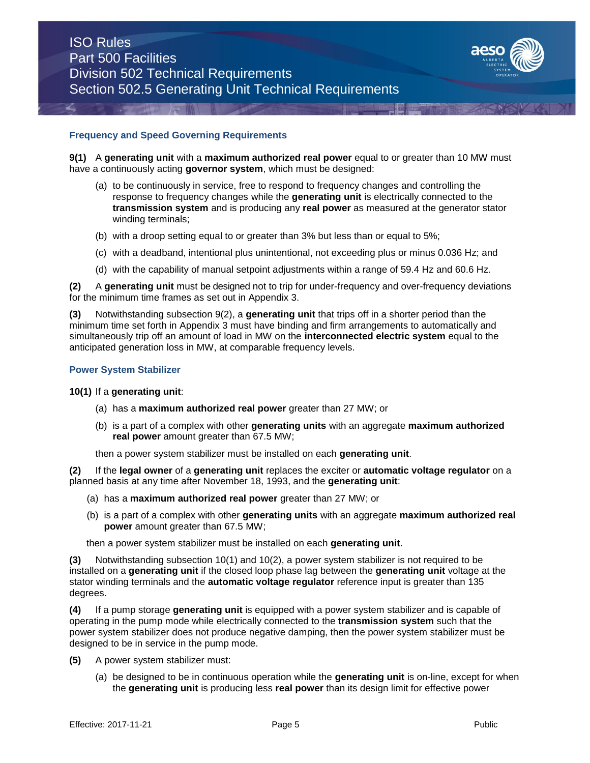

## **Frequency and Speed Governing Requirements**

**9(1)** A generating unit with a maximum authorized real power equal to or greater than 10 MW must have a continuously acting **governor system**, which must be designed:

- (a) to be continuously in service, free to respond to frequency changes and controlling the response to frequency changes while the **generating unit** is electrically connected to the **transmission system** and is producing any **real power** as measured at the generator stator winding terminals;
- (b) with a droop setting equal to or greater than 3% but less than or equal to 5%;
- (c) with a deadband, intentional plus unintentional, not exceeding plus or minus 0.036 Hz; and
- (d) with the capability of manual setpoint adjustments within a range of 59.4 Hz and 60.6 Hz.

**(2)** A **generating unit** must be designed not to trip for under-frequency and over-frequency deviations for the minimum time frames as set out in Appendix 3.

**(3)** Notwithstanding subsection 9(2), a **generating unit** that trips off in a shorter period than the minimum time set forth in Appendix 3 must have binding and firm arrangements to automatically and simultaneously trip off an amount of load in MW on the **interconnected electric system** equal to the anticipated generation loss in MW, at comparable frequency levels.

#### **Power System Stabilizer**

#### **10(1)** If a **generating unit**:

- (a) has a **maximum authorized real power** greater than 27 MW; or
- (b) is a part of a complex with other **generating units** with an aggregate **maximum authorized real power** amount greater than 67.5 MW;

then a power system stabilizer must be installed on each **generating unit**.

**(2)** If the **legal owner** of a **generating unit** replaces the exciter or **automatic voltage regulator** on a planned basis at any time after November 18, 1993, and the **generating unit**:

- (a) has a **maximum authorized real power** greater than 27 MW; or
- (b) is a part of a complex with other **generating units** with an aggregate **maximum authorized real power** amount greater than 67.5 MW;

then a power system stabilizer must be installed on each **generating unit**.

**(3)** Notwithstanding subsection 10(1) and 10(2), a power system stabilizer is not required to be installed on a **generating unit** if the closed loop phase lag between the **generating unit** voltage at the stator winding terminals and the **automatic voltage regulator** reference input is greater than 135 degrees.

**(4)** If a pump storage **generating unit** is equipped with a power system stabilizer and is capable of operating in the pump mode while electrically connected to the **transmission system** such that the power system stabilizer does not produce negative damping, then the power system stabilizer must be designed to be in service in the pump mode.

- **(5)** A power system stabilizer must:
	- (a) be designed to be in continuous operation while the **generating unit** is on-line, except for when the **generating unit** is producing less **real power** than its design limit for effective power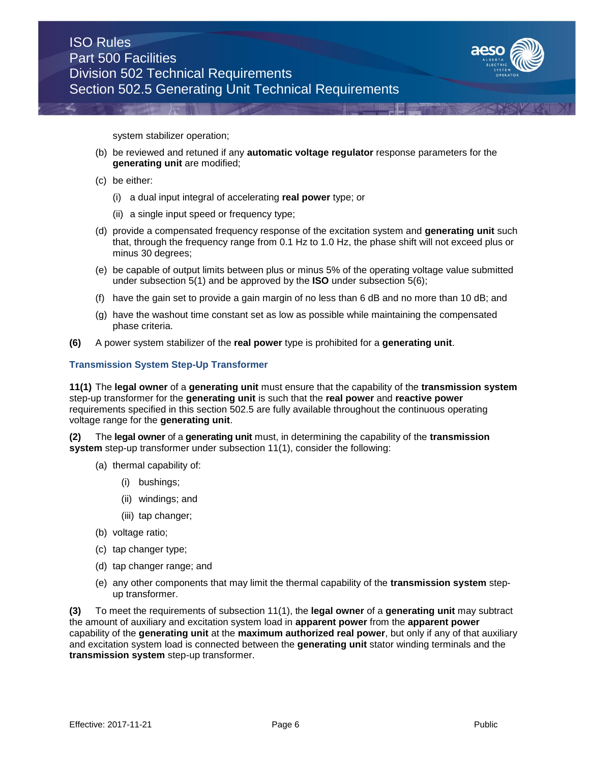

system stabilizer operation;

- (b) be reviewed and retuned if any **automatic voltage regulator** response parameters for the **generating unit** are modified;
- (c) be either:
	- (i) a dual input integral of accelerating **real power** type; or
	- (ii) a single input speed or frequency type;
- (d) provide a compensated frequency response of the excitation system and **generating unit** such that, through the frequency range from 0.1 Hz to 1.0 Hz, the phase shift will not exceed plus or minus 30 degrees;
- (e) be capable of output limits between plus or minus 5% of the operating voltage value submitted under subsection 5(1) and be approved by the **ISO** under subsection 5(6);
- (f) have the gain set to provide a gain margin of no less than 6 dB and no more than 10 dB; and
- (g) have the washout time constant set as low as possible while maintaining the compensated phase criteria.
- **(6)** A power system stabilizer of the **real power** type is prohibited for a **generating unit**.

### **Transmission System Step-Up Transformer**

**11(1)** The **legal owner** of a **generating unit** must ensure that the capability of the **transmission system**  step-up transformer for the **generating unit** is such that the **real power** and **reactive power** requirements specified in this section 502.5 are fully available throughout the continuous operating voltage range for the **generating unit**.

**(2)** The **legal owner** of a **generating unit** must, in determining the capability of the **transmission system** step-up transformer under subsection 11(1), consider the following:

- (a) thermal capability of:
	- (i) bushings;
	- (ii) windings; and
	- (iii) tap changer;
- (b) voltage ratio;
- (c) tap changer type;
- (d) tap changer range; and
- (e) any other components that may limit the thermal capability of the **transmission system** stepup transformer.

**(3)** To meet the requirements of subsection 11(1), the **legal owner** of a **generating unit** may subtract the amount of auxiliary and excitation system load in **apparent power** from the **apparent power**  capability of the **generating unit** at the **maximum authorized real power**, but only if any of that auxiliary and excitation system load is connected between the **generating unit** stator winding terminals and the **transmission system** step-up transformer.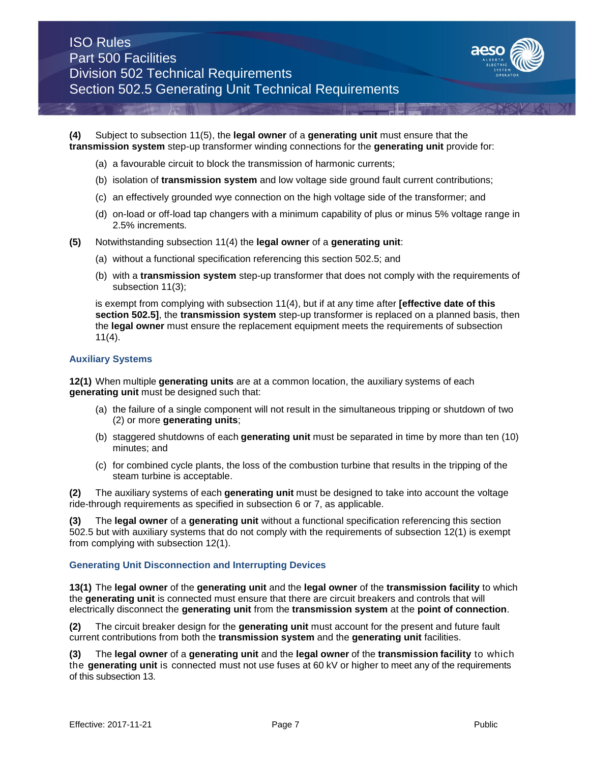

**(4)** Subject to subsection 11(5), the **legal owner** of a **generating unit** must ensure that the **transmission system** step-up transformer winding connections for the **generating unit** provide for:

- (a) a favourable circuit to block the transmission of harmonic currents;
- (b) isolation of **transmission system** and low voltage side ground fault current contributions;
- (c) an effectively grounded wye connection on the high voltage side of the transformer; and
- (d) on-load or off-load tap changers with a minimum capability of plus or minus 5% voltage range in 2.5% increments*.*
- **(5)** Notwithstanding subsection 11(4) the **legal owner** of a **generating unit**:
	- (a) without a functional specification referencing this section 502.5; and
	- (b) with a **transmission system** step-up transformer that does not comply with the requirements of subsection 11(3);

is exempt from complying with subsection 11(4), but if at any time after **[effective date of this section 502.5]**, the **transmission system** step-up transformer is replaced on a planned basis, then the **legal owner** must ensure the replacement equipment meets the requirements of subsection 11(4).

### **Auxiliary Systems**

**12(1)** When multiple **generating units** are at a common location, the auxiliary systems of each **generating unit** must be designed such that:

- (a) the failure of a single component will not result in the simultaneous tripping or shutdown of two (2) or more **generating units**;
- (b) staggered shutdowns of each **generating unit** must be separated in time by more than ten (10) minutes; and
- (c) for combined cycle plants, the loss of the combustion turbine that results in the tripping of the steam turbine is acceptable.

**(2)** The auxiliary systems of each **generating unit** must be designed to take into account the voltage ride-through requirements as specified in subsection 6 or 7, as applicable.

**(3)** The **legal owner** of a **generating unit** without a functional specification referencing this section 502.5 but with auxiliary systems that do not comply with the requirements of subsection 12(1) is exempt from complying with subsection 12(1).

## **Generating Unit Disconnection and Interrupting Devices**

**13(1)** The **legal owner** of the **generating unit** and the **legal owner** of the **transmission facility** to which the **generating unit** is connected must ensure that there are circuit breakers and controls that will electrically disconnect the **generating unit** from the **transmission system** at the **point of connection**.

**(2)** The circuit breaker design for the **generating unit** must account for the present and future fault current contributions from both the **transmission system** and the **generating unit** facilities.

**(3)** The **legal owner** of a **generating unit** and the **legal owner** of the **transmission facility** to which the **generating unit** is connected must not use fuses at 60 kV or higher to meet any of the requirements of this subsection 13.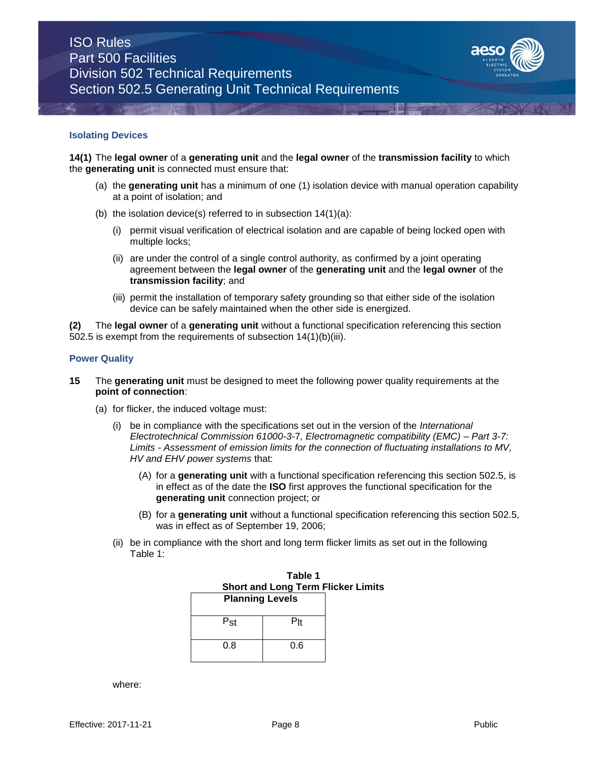

#### **Isolating Devices**

**14(1)** The **legal owner** of a **generating unit** and the **legal owner** of the **transmission facility** to which the **generating unit** is connected must ensure that:

- (a) the **generating unit** has a minimum of one (1) isolation device with manual operation capability at a point of isolation; and
- (b) the isolation device(s) referred to in subsection  $14(1)(a)$ :
	- (i) permit visual verification of electrical isolation and are capable of being locked open with multiple locks;
	- (ii) are under the control of a single control authority, as confirmed by a joint operating agreement between the **legal owner** of the **generating unit** and the **legal owner** of the **transmission facility**; and
	- (iii) permit the installation of temporary safety grounding so that either side of the isolation device can be safely maintained when the other side is energized.

**(2)** The **legal owner** of a **generating unit** without a functional specification referencing this section 502.5 is exempt from the requirements of subsection 14(1)(b)(iii).

#### **Power Quality**

- **15** The **generating unit** must be designed to meet the following power quality requirements at the **point of connection**:
	- (a) for flicker, the induced voltage must:
		- (i) be in compliance with the specifications set out in the version of the *International Electrotechnical Commission 61000-3-*7*, Electromagnetic compatibility (EMC) – Part 3-7: Limits - Assessment of emission limits for the connection of fluctuating installations to MV, HV and EHV power systems* that:
			- (A) for a **generating unit** with a functional specification referencing this section 502.5, is in effect as of the date the **ISO** first approves the functional specification for the **generating unit** connection project; or
			- (B) for a **generating unit** without a functional specification referencing this section 502.5, was in effect as of September 19, 2006;
		- (ii) be in compliance with the short and long term flicker limits as set out in the following Table 1:

|                                                                     | Table 1 |  |  |  |
|---------------------------------------------------------------------|---------|--|--|--|
| <b>Short and Long Term Flicker Limits</b><br><b>Planning Levels</b> |         |  |  |  |
|                                                                     |         |  |  |  |
| Pst                                                                 | Plt     |  |  |  |
| 0.8                                                                 | 0.6     |  |  |  |

where: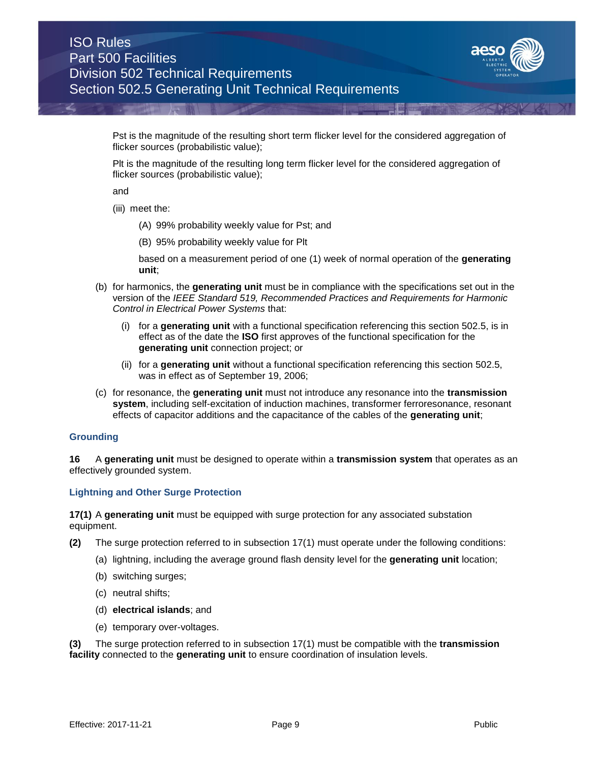

Pst is the magnitude of the resulting short term flicker level for the considered aggregation of flicker sources (probabilistic value);

Plt is the magnitude of the resulting long term flicker level for the considered aggregation of flicker sources (probabilistic value);

and

- (iii) meet the:
	- (A) 99% probability weekly value for Pst; and
	- (B) 95% probability weekly value for Plt

based on a measurement period of one (1) week of normal operation of the **generating unit**;

- (b) for harmonics, the **generating unit** must be in compliance with the specifications set out in the version of the *IEEE Standard 519, Recommended Practices and Requirements for Harmonic Control in Electrical Power Systems* that:
	- (i) for a **generating unit** with a functional specification referencing this section 502.5, is in effect as of the date the **ISO** first approves of the functional specification for the **generating unit** connection project; or
	- (ii) for a **generating unit** without a functional specification referencing this section 502.5, was in effect as of September 19, 2006;
- (c) for resonance, the **generating unit** must not introduce any resonance into the **transmission system**, including self-excitation of induction machines, transformer ferroresonance, resonant effects of capacitor additions and the capacitance of the cables of the **generating unit**;

## **Grounding**

**16** A **generating unit** must be designed to operate within a **transmission system** that operates as an effectively grounded system.

## **Lightning and Other Surge Protection**

**17(1)** A **generating unit** must be equipped with surge protection for any associated substation equipment.

- **(2)** The surge protection referred to in subsection 17(1) must operate under the following conditions:
	- (a) lightning, including the average ground flash density level for the **generating unit** location;
	- (b) switching surges;
	- (c) neutral shifts;
	- (d) **electrical islands**; and
	- (e) temporary over-voltages.

**(3)** The surge protection referred to in subsection 17(1) must be compatible with the **transmission facility** connected to the **generating unit** to ensure coordination of insulation levels.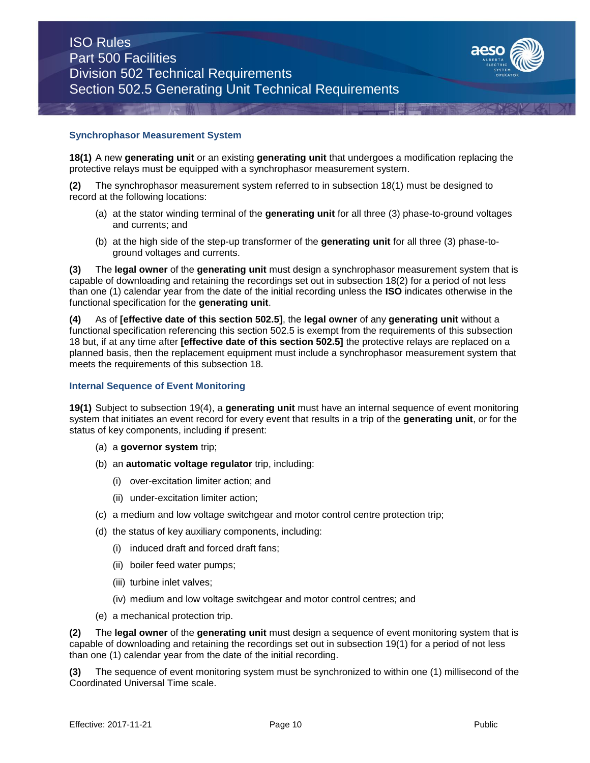

### **Synchrophasor Measurement System**

**18(1)** A new **generating unit** or an existing **generating unit** that undergoes a modification replacing the protective relays must be equipped with a synchrophasor measurement system.

**(2)** The synchrophasor measurement system referred to in subsection 18(1) must be designed to record at the following locations:

- (a) at the stator winding terminal of the **generating unit** for all three (3) phase-to-ground voltages and currents; and
- (b) at the high side of the step-up transformer of the **generating unit** for all three (3) phase-toground voltages and currents.

**(3)** The **legal owner** of the **generating unit** must design a synchrophasor measurement system that is capable of downloading and retaining the recordings set out in subsection 18(2) for a period of not less than one (1) calendar year from the date of the initial recording unless the **ISO** indicates otherwise in the functional specification for the **generating unit**.

**(4)** As of **[effective date of this section 502.5]**, the **legal owner** of any **generating unit** without a functional specification referencing this section 502.5 is exempt from the requirements of this subsection 18 but, if at any time after **[effective date of this section 502.5]** the protective relays are replaced on a planned basis, then the replacement equipment must include a synchrophasor measurement system that meets the requirements of this subsection 18.

#### **Internal Sequence of Event Monitoring**

**19(1)** Subject to subsection 19(4), a **generating unit** must have an internal sequence of event monitoring system that initiates an event record for every event that results in a trip of the **generating unit**, or for the status of key components, including if present:

- (a) a **governor system** trip;
- (b) an **automatic voltage regulator** trip, including:
	- (i) over-excitation limiter action; and
	- (ii) under-excitation limiter action;
- (c) a medium and low voltage switchgear and motor control centre protection trip;
- (d) the status of key auxiliary components, including:
	- (i) induced draft and forced draft fans;
	- (ii) boiler feed water pumps;
	- (iii) turbine inlet valves;
	- (iv) medium and low voltage switchgear and motor control centres; and
- (e) a mechanical protection trip.

**(2)** The **legal owner** of the **generating unit** must design a sequence of event monitoring system that is capable of downloading and retaining the recordings set out in subsection 19(1) for a period of not less than one (1) calendar year from the date of the initial recording.

**(3)** The sequence of event monitoring system must be synchronized to within one (1) millisecond of the Coordinated Universal Time scale.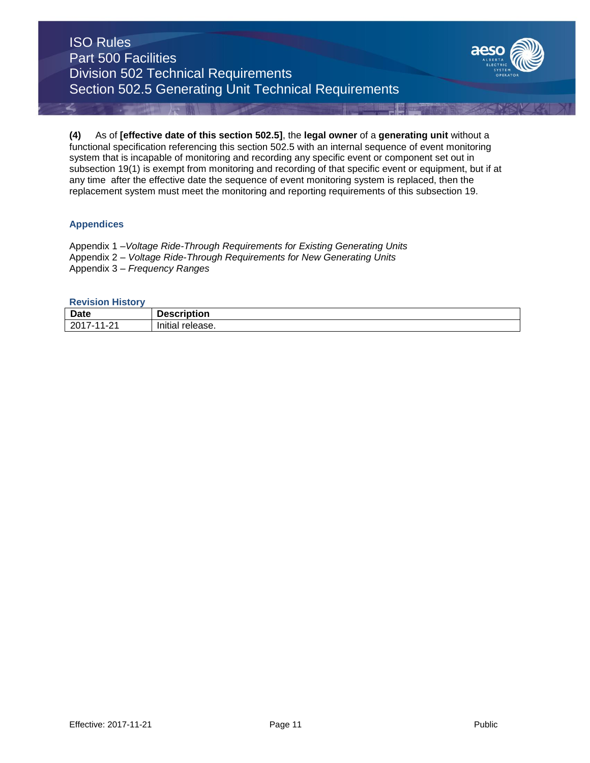# ISO Rules Part 500 Facilities Division 502 Technical Requirements Section 502.5 Generating Unit Technical Requirements



**(4)** As of **[effective date of this section 502.5]**, the **legal owner** of a **generating unit** without a functional specification referencing this section 502.5 with an internal sequence of event monitoring system that is incapable of monitoring and recording any specific event or component set out in subsection 19(1) is exempt from monitoring and recording of that specific event or equipment, but if at any time after the effective date the sequence of event monitoring system is replaced, then the replacement system must meet the monitoring and reporting requirements of this subsection 19.

## **Appendices**

Appendix 1 –*Voltage Ride-Through Requirements for Existing Generating Units* Appendix 2 – *Voltage Ride-Through Requirements for New Generating Units* Appendix 3 – *Frequency Ranges*

### **Revision History**

| <b>Date</b>            | <b>Description</b>               |
|------------------------|----------------------------------|
| 201<br>ົົ<br>. I - 4 . | .<br>امتثبوا<br>release.<br>muai |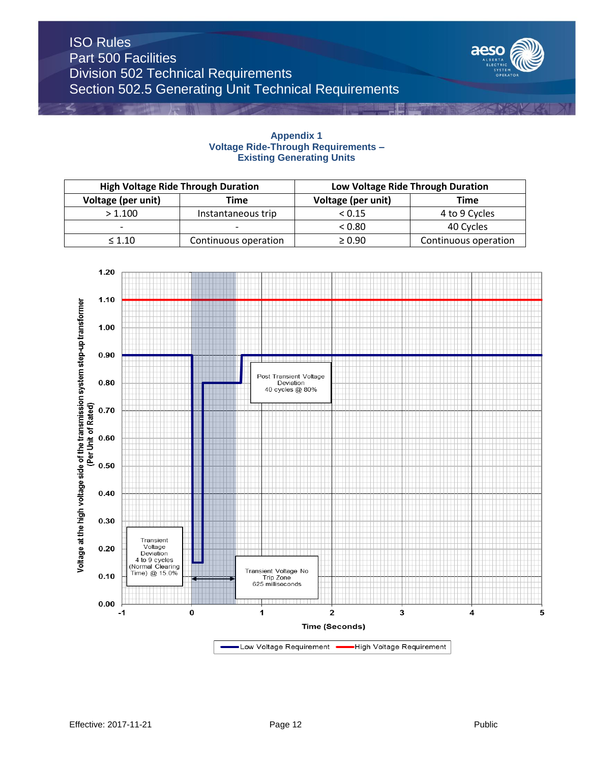

## **Appendix 1 Voltage Ride-Through Requirements – Existing Generating Units**

| <b>High Voltage Ride Through Duration</b> |                          | Low Voltage Ride Through Duration |                    |                      |
|-------------------------------------------|--------------------------|-----------------------------------|--------------------|----------------------|
|                                           | Voltage (per unit)       | Time                              | Voltage (per unit) | Time                 |
|                                           | > 1.100                  | Instantaneous trip                | < 0.15             | 4 to 9 Cycles        |
|                                           | $\overline{\phantom{0}}$ |                                   | < 0.80             | 40 Cycles            |
|                                           | $\leq 1.10$              | Continuous operation              | $\geq 0.90$        | Continuous operation |

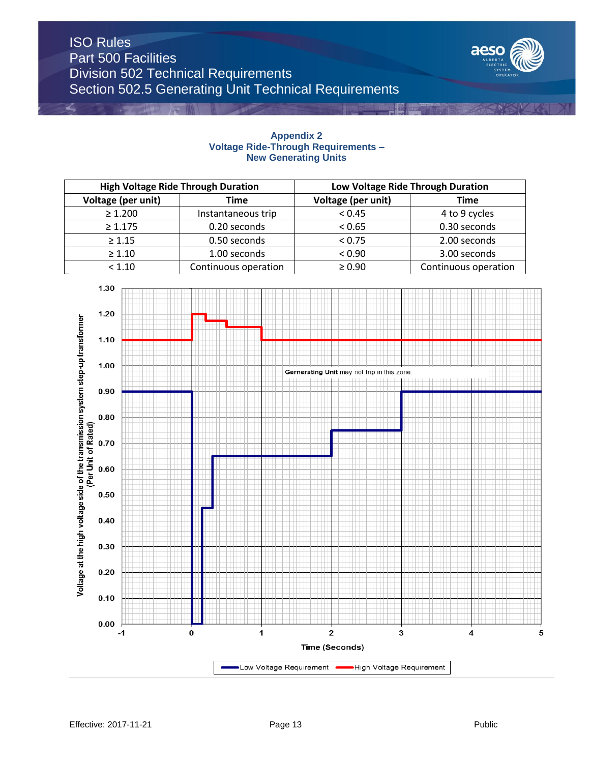# ISO Rules Part 500 Facilities Division 502 Technical Requirements Section 502.5 Generating Unit Technical Requirements



## **Appendix 2 Voltage Ride-Through Requirements – New Generating Units**

| <b>High Voltage Ride Through Duration</b> |                      | Low Voltage Ride Through Duration |                      |
|-------------------------------------------|----------------------|-----------------------------------|----------------------|
| Voltage (per unit)                        | Time                 | Voltage (per unit)                | Time                 |
| $\geq 1.200$                              | Instantaneous trip   | < 0.45                            | 4 to 9 cycles        |
| $\geq 1.175$                              | 0.20 seconds         | < 0.65                            | 0.30 seconds         |
| $\geq 1.15$                               | 0.50 seconds         | < 0.75                            | 2.00 seconds         |
| $\geq 1.10$                               | 1.00 seconds         | < 0.90                            | 3.00 seconds         |
| < 1.10                                    | Continuous operation | $\geq 0.90$                       | Continuous operation |